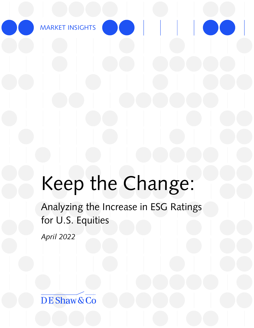MARKET INSIGHTS

# Keep the Change:

Analyzing the Increase in ESG Ratings for U.S. Equities

*April 2022*

DE Shaw & Co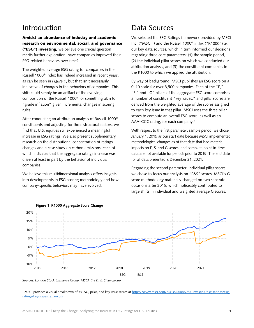### Introduction

Amidst an abundance of industry and academic research on environmental, social, and governance ("ESG") investing, we believe one crucial question merits further exploration: have companies improved their ESG-related behaviors over time?

The weighted average ESG rating for companies in the Russell 1000® Index has indeed increased in recent years, as can be seen in *Figure 1*, but that isn't necessarily indicative of changes in the behaviors of companies. This shift could simply be an artifact of the evolving composition of the Russell 1000®, or something akin to "grade inflation" given incremental changes in scoring rules.

After conducting an attribution analysis of Russell 1000® constituents and adjusting for three structural factors, we find that U.S. equities still experienced a meaningful increase in ESG ratings. We also present supplementary research on the distributional concentration of ratings changes and a case study on carbon emissions, each of which indicates that the aggregate ratings increase was driven at least in part by the behavior of individual companies.

We believe this multidimensional analysis offers insights into developments in ESG scoring methodology and how company-specific behaviors may have evolved.

## Data Sources

We selected the ESG Ratings framework provided by MSCI Inc. ("MSCI") and the Russell 1000® Index ("R1000") as our key data sources, which in turn informed our decisions regarding three core parameters: (1) the sample period, (2) the individual pillar scores on which we conducted our attribution analysis, and (3) the constituent companies in the R1000 to which we applied the attribution.

By way of background, MSCI publishes an ESG score on a 0–10 scale for over 8,500 companies. Each of the "E," "S," and "G" pillars of the aggregate ESG score comprises a number of constituent "key issues," and pillar scores are derived from the weighted average of the scores assigned to each key issue in that pillar. MSCI uses the three pillar scores to compute an overall ESG score, as well as an AAA–CCC rating, for each company. [1](#page-1-0)

With respect to the first parameter, sample period, we chose January 1, 2015 as our start date because MSCI implemented methodological changes as of that date that had material impacts on E, S, and G scores, and complete point-in-time data are not available for periods prior to 2015. The end date for all data presented is December 31, 2021.

Regarding the second parameter, individual pillar scores, we chose to focus our analysis on "E&S" scores. MSCI's G score methodology materially changed on two separate occasions after 2015, which noticeably contributed to large shifts in individual and weighted average G scores.





<span id="page-1-0"></span><sup>1</sup> MSCI provides a visual breakdown of its ESG, pillar, and key issue scores a[t https://www.msci.com/our-solutions/esg-investing/esg-ratings/esg](https://www.msci.com/our-solutions/esg-investing/esg-ratings/esg-ratings-key-issue-framework)[ratings-key-issue-framework.](https://www.msci.com/our-solutions/esg-investing/esg-ratings/esg-ratings-key-issue-framework)

*Sources: London Stock Exchange Group; MSCI; the D. E. Shaw group.*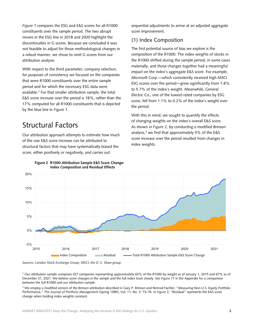*Figure 1* compares the ESG and E&S scores for all R1000 constituents over the sample period. The two abrupt moves in the ESG line in 2018 and 2020 highlight the discontinuities in G scores. Because we concluded it was not feasible to adjust for those methodological changes in a robust manner, we chose to omit G scores from our attribution analysis.

With respect to the third parameter, company selection, for purposes of consistency we focused on the companies that were R1000 constituents over the entire sample period and for which the necessary ESG data were available.[2](#page-2-0) For that smaller attribution sample, the total E&S score increase over the period is 18%, rather than the 17% computed for all R1000 constituents that is depicted by the blue line in *Figure 1*.

#### Structural Factors

Our attribution approach attempts to estimate how much of the raw E&S score increase can be attributed to structural factors that may have systematically biased the score, either positively or negatively, and carries out

sequential adjustments to arrive at an adjusted aggregate score improvement.

#### (1) Index Composition

The first potential source of bias we explore is the composition of the R1000. The index weights of stocks in the R1000 shifted during the sample period, in some cases materially, and those changes together had a meaningful impact on the index's aggregate E&S score. For example, Microsoft Corp.—which consistently received high MSCI ESG scores over the period—grew significantly from 1.8% to 5.7% of the index's weight. Meanwhile, General Electric Co., one of the lowest-rated companies by ESG score, fell from 1.1% to 0.2% of the index's weight over the period.

With this in mind, we sought to quantify the effects of changing weights on the index's overall E&S score. As shown in *Figure 2*, by conducting a modified Brinson analysis, [3](#page-2-1) we find that approximately 5% of the E&S score increase over the period resulted from changes in index weights.





<span id="page-2-0"></span><sup>2</sup> Our attribution sample comprises 437 companies representing approximately 63% of the R1000 by weight as of January 1, 2015 and 67% as of December 31, 2021. We believe score changes in the sample and the full index track closely. See *Figure 11* in the Appendix for a comparison between the full R1000 and our attribution sample.

<span id="page-2-1"></span><sup>3</sup> We employ a modified version of the Brinson attribution described in Gary P. Brinson and Nimrod Fachler, "Measuring Non-U.S. Equity Portfolio Performance," *The Journal of Portfolio Management* (Spring 1985), Vol. 11, No. 3: 73–76. In *Figure* 2, "Residual" represents the E&S score change when holding index weights constant.

*Sources: London Stock Exchange Group; MSCI; the D. E. Shaw group.*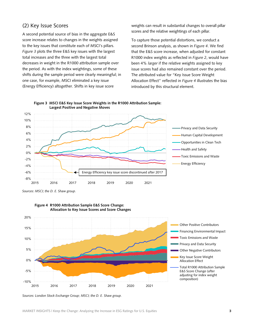#### (2) Key Issue Scores

A second potential source of bias in the aggregate E&S score increase relates to changes in the weights assigned to the key issues that constitute each of MSCI's pillars. *Figure 3* plots the three E&S key issues with the largest total increases and the three with the largest total decreases in weight in the R1000 attribution sample over the period. As with the index weightings, some of these shifts during the sample period were clearly meaningful; in one case, for example, MSCI eliminated a key issue (Energy Efficiency) altogether. Shifts in key issue score

weights can result in substantial changes to overall pillar scores and the relative weightings of each pillar.

To capture those potential distortions, we conduct a second Brinson analysis, as shown in *Figure 4*. We find that the E&S score increase, when adjusted for constant R1000 index weights as reflected in *Figure 2*, would have been 4% *larger* if the relative weights assigned to key issue scores had also remained constant over the period. The attributed value for "Key Issue Score Weight Allocation Effect" reflected in *Figure 4* illustrates the bias introduced by this structural element.



**Figure 3 MSCI E&S Key Issue Score Weights in the R1000 Attribution Sample: Largest Positive and Negative Moves**

*Sources: MSCI; the D. E. Shaw group.*





*Sources: London Stock Exchange Group; MSCI; the D. E. Shaw group.*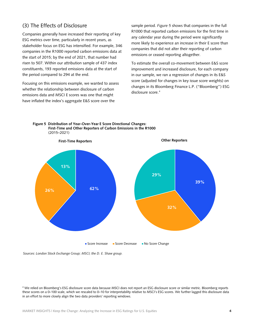*Sources: London Stock Exchange Group; MSCI; the D. E. Shaw group.*

#### (3) The Effects of Disclosure

Companies generally have increased their reporting of key ESG metrics over time, particularly in recent years, as stakeholder focus on ESG has intensified. For example, 346 companies in the R1000 reported carbon emissions data at the start of 2015; by the end of 2021, that number had risen to 507. Within our attribution sample of 437 index constituents, 193 reported emissions data at the start of the period compared to 294 at the end.

Focusing on this emissions example, we wanted to assess whether the relationship between disclosure of carbon emissions data and MSCI E scores was one that might have inflated the index's aggregate E&S score over the

sample period. *Figure 5* shows that companies in the full R1000 that reported carbon emissions for the first time in any calendar year during the period were significantly more likely to experience an increase in their E score than companies that did not alter their reporting of carbon emissions or ceased reporting altogether.

To estimate the overall co-movement between E&S score improvement and increased disclosure, for each company in our sample, we ran a regression of changes in its E&S score (adjusted for changes in key issue score weights) on changes in its Bloomberg Finance L.P. ("Bloomberg") ESG disclosure score.<sup>[4](#page-4-0)</sup>

**Figure 5 Distribution of Year-Over-Year E Score Directional Changes: First-Time and Other Reporters of Carbon Emissions in the R1000** (2015–2021)

<span id="page-4-0"></span><sup>4</sup> We relied on Bloomberg's ESG disclosure score data because MSCI does not report an ESG disclosure score or similar metric. Bloomberg reports these scores on a 0–100 scale, which we rescaled to 0–10 for interpretability relative to MSCI's ESG scores. We further lagged this disclosure data in an effort to more closely align the two data providers' reporting windows.

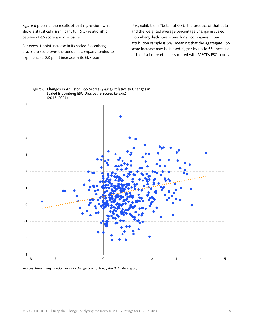*Figure 6* presents the results of that regression, which show a statistically significant ( $t = 5.3$ ) relationship between E&S score and disclosure.

For every 1 point increase in its scaled Bloomberg disclosure score over the period, a company tended to experience a 0.3 point increase in its E&S score

(*i.e.*, exhibited a "beta" of 0.3). The product of that beta and the weighted average percentage change in scaled Bloomberg disclosure scores for all companies in our attribution sample is 5%, meaning that the aggregate E&S score increase may be biased higher by up to 5% because of the disclosure effect associated with MSCI's ESG scores.





*Sources: Bloomberg; London Stock Exchange Group; MSCI; the D. E. Shaw group.*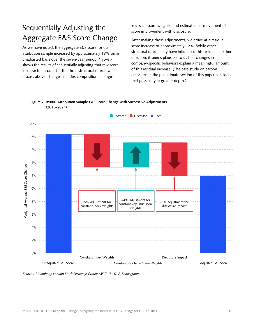# Sequentially Adjusting the Aggregate E&S Score Change

As we have noted, the aggregate E&S score for our attribution sample increased by approximately 18% on an unadjusted basis over the seven-year period. *Figure 7* shows the results of sequentially adjusting that raw score increase to account for the three structural effects we discuss above: changes in index composition, changes in

key issue score weights, and estimated co-movement of score improvement with disclosure.

After making those adjustments, we arrive at a residual score increase of approximately 12%. While other structural effects may have influenced this residual in either direction, it seems plausible to us that changes in company-specific behaviors explain a meaningful amount of this residual increase. (The case study on carbon emissions in the penultimate section of this paper considers that possibility in greater depth.)



**Figure 7 R1000 Attribution Sample E&S Score Change with Successive Adjustments** (2015–2021)

*Sources: Bloomberg; London Stock Exchange Group; MSCI; the D. E. Shaw group.*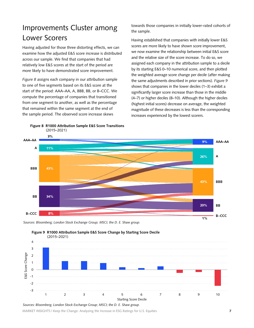# Improvements Cluster among Lower Scorers

Having adjusted for those three distorting effects, we can examine how the adjusted E&S score increase is distributed across our sample. We find that companies that had relatively low E&S scores at the start of the period are more likely to have demonstrated score improvement.

*Figure 8* assigns each company in our attribution sample to one of five segments based on its E&S score at the start of the period: AAA–AA, A, BBB, BB, or B–CCC. We compute the percentage of companies that transitioned from one segment to another, as well as the percentage that remained within the same segment at the end of the sample period. The observed score increase skews

**Figure 8 R1000 Attribution Sample E&S Score Transitions**



Having established that companies with initially lower E&S scores are more likely to have shown score improvement, we now examine the relationship between initial E&S score and the relative size of the score increase. To do so, we assigned each company in the attribution sample to a decile by its starting E&S 0–10 numerical score, and then plotted the weighted average score change per decile (after making the same adjustments described in prior sections). *Figure 9* shows that companies in the lower deciles (1–3) exhibit a significantly larger score increase than those in the middle (4–7) or higher deciles (8–10). Although the higher deciles (highest initial scores) decrease on average, the weighted magnitude of these decreases is less than the corresponding increases experienced by the lowest scorers.









MARKET INSIGHTS | Keep the Change: Analyzing the Increase in ESG Ratings for U.S. Equities 7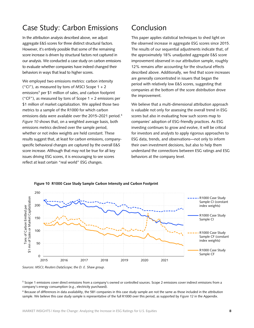### Case Study: Carbon Emissions

In the attribution analysis described above, we adjust aggregate E&S scores for three distinct structural factors. However, it's entirely possible that some of the remaining score increase is driven by structural factors not captured in our analysis. We conducted a case study on carbon emissions to evaluate whether companies have indeed changed their behaviors in ways that lead to higher scores.

We employed two emissions metrics: carbon intensity ("CI"), as measured by tons of MSCI Scope  $1 + 2$ emissions<sup>[5](#page-8-0)</sup> per \$1 million of sales, and carbon footprint ("CF"), as measured by tons of Scope  $1 + 2$  emissions per \$1 million of market capitalization. We applied those two metrics to a sample of the R1000 for which carbon emissions data were available over the 2015–2021 period.<sup>[6](#page-8-1)</sup> *Figure 10* shows that, on a weighted average basis, both emissions metrics declined over the sample period, whether or not index weights are held constant. These results suggest that, at least for carbon emissions, companyspecific behavioral changes are captured by the overall E&S score increase. Although that may not be true for all key issues driving ESG scores, it is encouraging to see scores reflect at least certain "real world" ESG changes.

## Conclusion

This paper applies statistical techniques to shed light on the observed increase in aggregate ESG scores since 2015. The results of our sequential adjustments indicate that, of the approximately 18% unadjusted aggregate E&S score improvement observed in our attribution sample, roughly 12% remains after accounting for the structural effects described above. Additionally, we find that score increases are generally concentrated in issuers that began the period with relatively low E&S scores, suggesting that companies at the bottom of the score distribution drove the improvement.

We believe that a multi-dimensional attribution approach is valuable not only for assessing the overall trend in ESG scores but also in evaluating how such scores map to companies' adoption of ESG-friendly practices. As ESG investing continues to grow and evolve, it will be critical for investors and analysts to apply rigorous approaches to ESG data, trends, and observations—not only to inform their own investment decisions, but also to help them understand the connections between ESG ratings and ESG behaviors at the company level.



#### **Figure 10 R1000 Case Study Sample Carbon Intensity and Carbon Footprint**

*Sources: MSCI; Reuters DataScope; the D. E. Shaw group.*

<span id="page-8-0"></span><sup>5</sup> Scope 1 emissions cover direct emissions from a company's owned or controlled sources. Scope 2 emissions cover indirect emissions from a company's energy consumption (*e.g.*, electricity purchased).

<span id="page-8-1"></span> $6$  Because of differences in data availability, the 581 companies in this case study sample are not the same as those included in the attribution sample. We believe this case study sample is representative of the full R1000 over this period, as supported by *Figure 12* in the Appendix.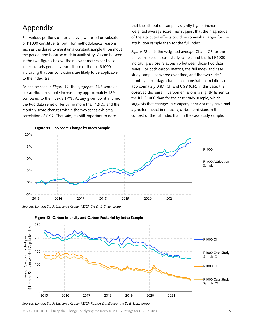## Appendix

For various portions of our analysis, we relied on subsets of R1000 constituents, both for methodological reasons, such as the desire to maintain a constant sample throughout the period, and because of data availability. As can be seen in the two figures below, the relevant metrics for those index subsets generally track those of the full R1000, indicating that our conclusions are likely to be applicable to the index itself.

As can be seen in *Figure 11*, the aggregate E&S score of our attribution sample increased by approximately 18%, compared to the index's 17%. At any given point in time, the two data series differ by no more than 1.9%, and the monthly score changes within the two series exhibit a correlation of 0.92. That said, it's still important to note

that the attribution sample's slightly higher increase in weighted average score may suggest that the magnitude of the attributed effects could be somewhat larger for the attribution sample than for the full index.

*Figure 12* plots the weighted average CI and CF for the emissions-specific case study sample and the full R1000, indicating a close relationship between those two data series. For both carbon metrics, the full index and case study sample converge over time, and the two series' monthly percentage changes demonstrate correlations of approximately 0.87 (CI) and 0.98 (CF). In this case, the observed decrease in carbon emissions is slightly larger for the full R1000 than for the case study sample, which suggests that changes in company behavior may have had a greater impact in reducing carbon emissions in the context of the full index than in the case study sample.



#### **Figure 11 E&S Score Change by Index Sample**

*Sources: London Stock Exchange Group; MSCI; the D. E. Shaw group.*



**Figure 12 Carbon Intensity and Carbon Footprint by Index Sample**

*Sources: London Stock Exchange Group; MSCI; Reuters DataScope; the D. E. Shaw group.*

MARKET INSIGHTS | Keep the Change: Analyzing the Increase in ESG Ratings for U.S. Equities  $\overline{\phantom{a}}$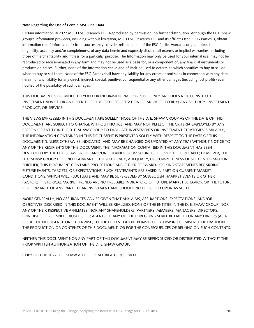#### **Note Regarding the Use of Certain MSCI Inc. Data**

Certain information © 2022 MSCI ESG Research LLC. Reproduced by permission; no further distribution. Although the D. E. Shaw group's information providers, including without limitation, MSCI ESG Research LLC and its affiliates (the "ESG Parties"), obtain information (the "Information") from sources they consider reliable, none of the ESG Parties warrants or guarantees the originality, accuracy and/or completeness, of any data herein and expressly disclaim all express or implied warranties, including those of merchantability and fitness for a particular purpose. The Information may only be used for your internal use, may not be reproduced or redisseminated in any form and may not be used as a basis for, or a component of, any financial instruments or products or indices. Further, none of the Information can in and of itself be used to determine which securities to buy or sell or when to buy or sell them. None of the ESG Parties shall have any liability for any errors or omissions in connection with any data herein, or any liability for any direct, indirect, special, punitive, consequential or any other damages (including lost profits) even if notified of the possibility of such damages.

THIS DOCUMENT IS PROVIDED TO YOU FOR INFORMATIONAL PURPOSES ONLY AND DOES NOT CONSTITUTE INVESTMENT ADVICE OR AN OFFER TO SELL (OR THE SOLICITATION OF AN OFFER TO BUY) ANY SECURITY, INVESTMENT PRODUCT, OR SERVICE.

THE VIEWS EXPRESSED IN THIS DOCUMENT ARE SOLELY THOSE OF THE D. E. SHAW GROUP AS OF THE DATE OF THIS DOCUMENT, ARE SUBJECT TO CHANGE WITHOUT NOTICE, AND MAY NOT REFLECT THE CRITERIA EMPLOYED BY ANY PERSON OR ENTITY IN THE D. E. SHAW GROUP TO EVALUATE INVESTMENTS OR INVESTMENT STRATEGIES. SIMILARLY, THE INFORMATION CONTAINED IN THIS DOCUMENT IS PRESENTED SOLELY WITH RESPECT TO THE DATE OF THIS DOCUMENT (UNLESS OTHERWISE INDICATED) AND MAY BE CHANGED OR UPDATED AT ANY TIME WITHOUT NOTICE TO ANY OF THE RECIPIENTS OF THIS DOCUMENT. THE INFORMATION CONTAINED IN THIS DOCUMENT HAS BEEN DEVELOPED BY THE D. E. SHAW GROUP AND/OR OBTAINED FROM SOURCES BELIEVED TO BE RELIABLE; HOWEVER, THE D. E. SHAW GROUP DOES NOT GUARANTEE THE ACCURACY, ADEQUACY, OR COMPLETENESS OF SUCH INFORMATION. FURTHER, THIS DOCUMENT CONTAINS PROJECTIONS AND OTHER FORWARD-LOOKING STATEMENTS REGARDING FUTURE EVENTS, TARGETS, OR EXPECTATIONS. SUCH STATEMENTS ARE BASED IN PART ON CURRENT MARKET CONDITIONS, WHICH WILL FLUCTUATE AND MAY BE SUPERSEDED BY SUBSEQUENT MARKET EVENTS OR OTHER FACTORS. HISTORICAL MARKET TRENDS ARE NOT RELIABLE INDICATORS OF FUTURE MARKET BEHAVIOR OR THE FUTURE PERFORMANCE OF ANY PARTICULAR INVESTMENT AND SHOULD NOT BE RELIED UPON AS SUCH.

MORE GENERALLY, NO ASSURANCES CAN BE GIVEN THAT ANY AIMS, ASSUMPTIONS, EXPECTATIONS, AND/OR OBJECTIVES DESCRIBED IN THIS DOCUMENT WILL BE REALIZED. NONE OF THE ENTITIES IN THE D. E. SHAW GROUP; NOR ANY OF THEIR RESPECTIVE AFFILIATES; NOR ANY SHAREHOLDERS, PARTNERS, MEMBERS, MANAGERS, DIRECTORS, PRINCIPALS, PERSONNEL, TRUSTEES, OR AGENTS OF ANY OF THE FOREGOING SHALL BE LIABLE FOR ANY ERRORS (AS A RESULT OF NEGLIGENCE OR OTHERWISE, TO THE FULLEST EXTENT PERMITTED BY LAW IN THE ABSENCE OF FRAUD) IN THE PRODUCTION OR CONTENTS OF THIS DOCUMENT, OR FOR THE CONSEQUENCES OF RELYING ON SUCH CONTENTS.

NEITHER THIS DOCUMENT NOR ANY PART OF THIS DOCUMENT MAY BE REPRODUCED OR DISTRIBUTED WITHOUT THE PRIOR WRITTEN AUTHORIZATION OF THE D. E. SHAW GROUP.

COPYRIGHT © 2022 D. E. SHAW & CO., L.P. ALL RIGHTS RESERVED.